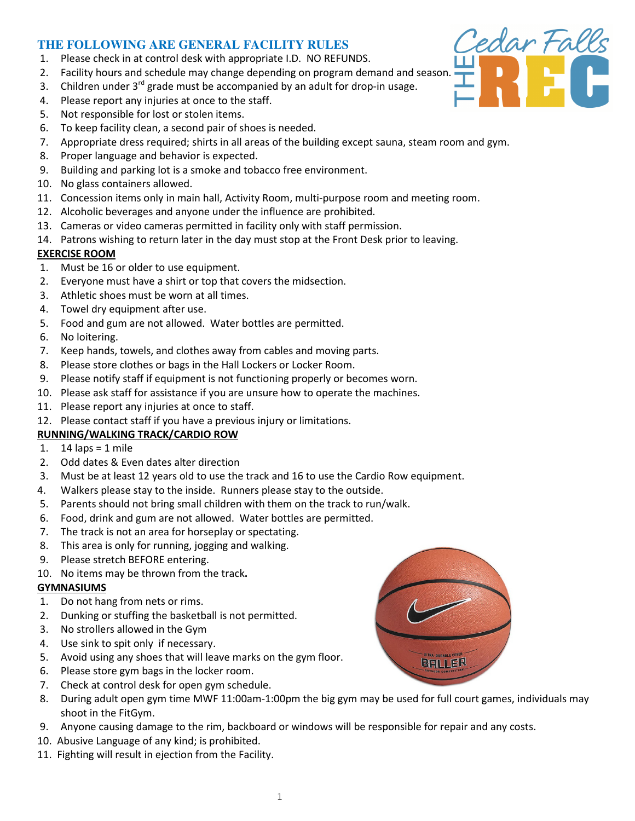# **THE FOLLOWING ARE GENERAL FACILITY RULES**

- 1. Please check in at control desk with appropriate I.D. NO REFUNDS.
- 2. Facility hours and schedule may change depending on program demand and season.
- 3. Children under  $3^{rd}$  grade must be accompanied by an adult for drop-in usage.
- 4. Please report any injuries at once to the staff.
- 5. Not responsible for lost or stolen items.
- 6. To keep facility clean, a second pair of shoes is needed.
- 7. Appropriate dress required; shirts in all areas of the building except sauna, steam room and gym.
- 8. Proper language and behavior is expected.
- 9. Building and parking lot is a smoke and tobacco free environment.
- 10. No glass containers allowed.
- 11. Concession items only in main hall, Activity Room, multi-purpose room and meeting room.
- 12. Alcoholic beverages and anyone under the influence are prohibited.
- 13. Cameras or video cameras permitted in facility only with staff permission.
- 14. Patrons wishing to return later in the day must stop at the Front Desk prior to leaving.

### EXERCISE ROOM

- 1. Must be 16 or older to use equipment.
- 2. Everyone must have a shirt or top that covers the midsection.
- 3. Athletic shoes must be worn at all times.
- 4. Towel dry equipment after use.
- 5. Food and gum are not allowed. Water bottles are permitted.
- 6. No loitering.
- 7. Keep hands, towels, and clothes away from cables and moving parts.
- 8. Please store clothes or bags in the Hall Lockers or Locker Room.
- 9. Please notify staff if equipment is not functioning properly or becomes worn.
- 10. Please ask staff for assistance if you are unsure how to operate the machines.
- 11. Please report any injuries at once to staff.
- 12. Please contact staff if you have a previous injury or limitations.

## RUNNING/WALKING TRACK/CARDIO ROW

- 1.  $14$  laps = 1 mile
- 2. Odd dates & Even dates alter direction
- 3. Must be at least 12 years old to use the track and 16 to use the Cardio Row equipment.
- 4. Walkers please stay to the inside. Runners please stay to the outside.
- 5. Parents should not bring small children with them on the track to run/walk.
- 6. Food, drink and gum are not allowed. Water bottles are permitted.
- 7. The track is not an area for horseplay or spectating.
- 8. This area is only for running, jogging and walking.
- 9. Please stretch BEFORE entering.
- 10. No items may be thrown from the track.

## GYMNASIUMS

- 1. Do not hang from nets or rims.
- 2. Dunking or stuffing the basketball is not permitted.
- 3. No strollers allowed in the Gym
- 4. Use sink to spit only if necessary.
- 5. Avoid using any shoes that will leave marks on the gym floor.
- 6. Please store gym bags in the locker room.
- 7. Check at control desk for open gym schedule.
- 8. During adult open gym time MWF 11:00am-1:00pm the big gym may be used for full court games, individuals may shoot in the FitGym.
- 9. Anyone causing damage to the rim, backboard or windows will be responsible for repair and any costs.
- 10. Abusive Language of any kind; is prohibited.
- 11. Fighting will result in ejection from the Facility.